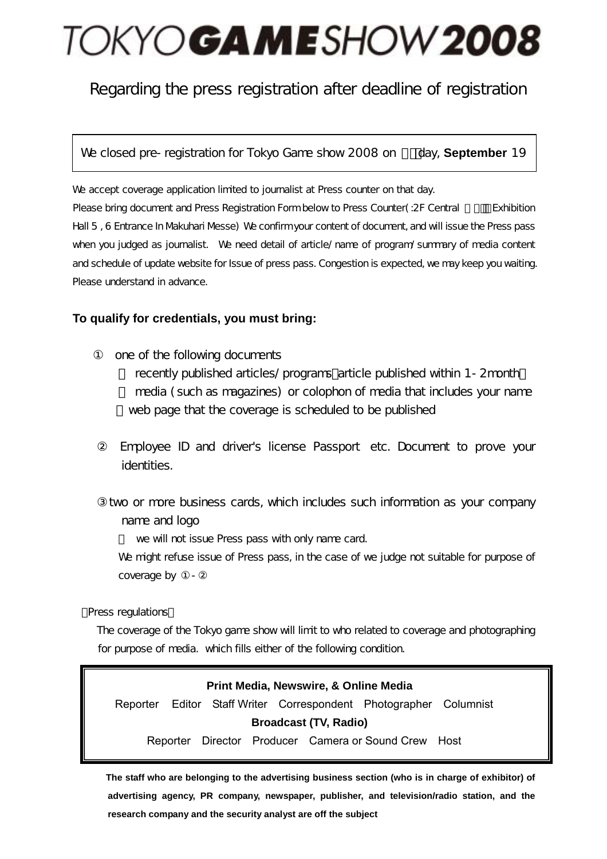# TOKYOGAMESHOW 2008

### Regarding the press registration after deadline of registration

We closed pre-registration for Tokyo Game show 2008 on day, **September** 19

We accept coverage application limited to journalist at Press counter on that day. Please bring document and Press Registration Form below to Press Counter(: 2F Central Exhibition Hall 5 , 6 Entrance In Makuhari Messe) We confirm your content of document, and will issue the Press pass when you judged as journalist. We need detail of article/name of program/summary of media content and schedule of update website for Issue of press pass. Congestion is expected, we may keep you waiting. Please understand in advance.

#### **To qualify for credentials, you must bring:**

one of the following documents

recently published articles/programs article published within 1-2month media (such as magazines) or colophon of media that includes your name web page that the coverage is scheduled to be published

Employee ID and driver's license Passport etc. Document to prove your identities.

two or more business cards, which includes such information as your company name and logo

we will not issue Press pass with only name card.

We might refuse issue of Press pass, in the case of we judge not suitable for purpose of coverage by

Press regulations

The coverage of the Tokyo game show will limit to who related to coverage and photographing for purpose of media. which fills either of the following condition.

#### **Print Media, Newswire, & Online Media**

Reporter Editor Staff Writer Correspondent Photographer Columnist **Broadcast (TV, Radio)** 

Reporter Director Producer Camera or Sound Crew Host

**The staff who are belonging to the advertising business section (who is in charge of exhibitor) of advertising agency, PR company, newspaper, publisher, and television/radio station, and the research company and the security analyst are off the subject**